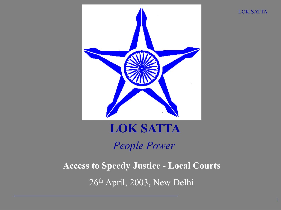

LOK SATTA

1

# LOK SATTA *People Power*

Access to Speedy Justice - Local Courts 26th April, 2003, New Delhi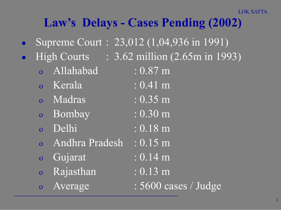## Law's Delays - Cases Pending (2002)

- Supreme Court : 23,012 (1,04,936 in 1991)
- - Allahabad : 0.87 m
	- o Kerala : 0.41 m
	- o Madras : 0.35 m
	- o Bombay : 0.30 m
	- o Delhi : 0.18 m
	- o Andhra Pradesh : 0.15 m
	- o Gujarat : 0.14 m
	- o Rajasthan : 0.13 m
	-

High Courts : 3.62 million (2.65m in 1993)

- 
- 
- 
- 
- 
- -
	-
- o Average : 5600 cases / Judge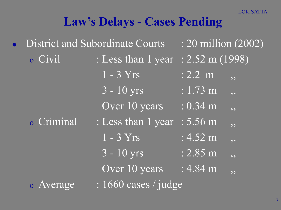### Law's Delays - Cases Pending

| <b>District and Subordinate Courts</b>      |                                    | $\pm 20$ million (2002)             |
|---------------------------------------------|------------------------------------|-------------------------------------|
| o Civil                                     | : Less than 1 year : 2.52 m (1998) |                                     |
|                                             | $1 - 3 Yrs$                        | $: 2.2 \text{ m}$<br>5 <sub>2</sub> |
|                                             | $3 - 10$ yrs                       | $: 1.73 \text{ m}$<br>, 9           |
|                                             | Over 10 years                      | $: 0.34 \text{ m}$<br>55            |
| o Criminal                                  | : Less than 1 year                 | $: 5.56 \; m$<br>, ,                |
|                                             | $1 - 3 Yrs$                        | $: 4.52 \text{ m}$<br>, ,           |
|                                             | $3 - 10$ yrs                       | $: 2.85 \; m$<br>99                 |
|                                             | Over 10 years                      | $: 4.84 \text{ m}$<br>,,            |
| $: 1660 \text{ cases}$ / judge<br>o Average |                                    |                                     |
|                                             |                                    |                                     |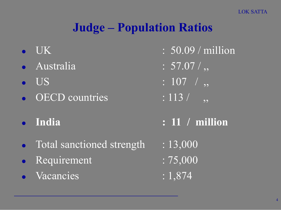## Judge – Population Ratios

- 
- Australia : 57.07/,
- 
- $\overline{OECD}$  countries : 113 / ,,
- 
- Total sanctioned strength : 13,000
- Requirement : 75,000
- Vacancies : 1,874
- $\bullet$  UK  $\qquad \qquad : 50.09 / \text{million}$ 
	-
	- US : 107 / ,
		-
	- India : 11 / million
		-
		-
		-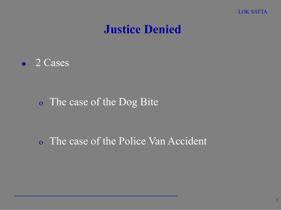

#### Justice Denied

• 2 Cases

#### o The case of the Dog Bite

#### o The case of the Police Van Accident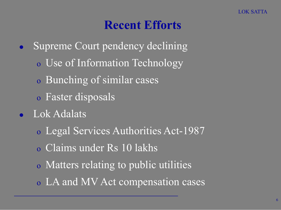#### Recent Efforts

- Supreme Court pendency declining
	- o Use of Information Technology
	- o Bunching of similar cases
	- o Faster disposals
- Lok Adalats
	- o Legal Services Authorities Act-1987
	- o Claims under Rs 10 lakhs
	- o Matters relating to public utilities
	- o LA and MV Act compensation cases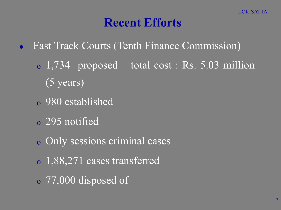#### Recent Efforts

- Fast Track Courts (Tenth Finance Commission)
	- o 1,734 proposed total cost : Rs. 5.03 million (5 years)
	- o 980 established
	- o 295 notified
	- o Only sessions criminal cases
	- o 1,88,271 cases transferred
	- o 77,000 disposed of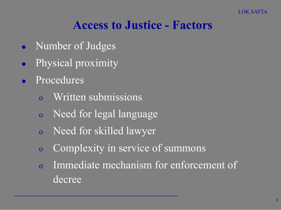#### Access to Justice - Factors

- Number of Judges
- Physical proximity
- **Procedures** 
	- Written submissions
	- o Need for legal language
	- o Need for skilled lawyer
	- o Complexity in service of summons
	- o Immediate mechanism for enforcement of decree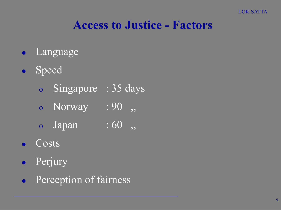#### Access to Justice - Factors

- Language
- **•** Speed
	- o Singapore : 35 days
	- o Norway : 90,
	- o Japan : 60,
- **Costs**
- Perjury
- **•** Perception of fairness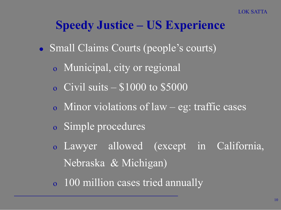#### Speedy Justice – US Experience

- Small Claims Courts (people's courts)
	- o Municipal, city or regional
	- o Civil suits  $-$  \$1000 to \$5000
	- o Minor violations of law eg: traffic cases
	- o Simple procedures
	- o Lawyer allowed (except in California, Nebraska & Michigan)
	- o 100 million cases tried annually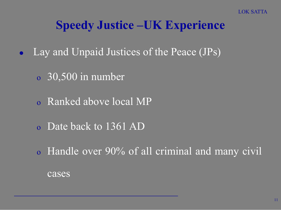## Speedy Justice –UK Experience

- Lay and Unpaid Justices of the Peace (JPs)
	- o 30,500 in number
	- o Ranked above local MP
	- o Date back to 1361 AD
	- o Handle over 90% of all criminal and many civil cases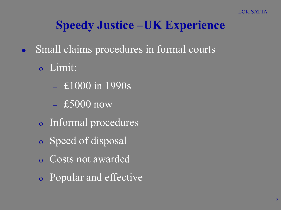## Speedy Justice –UK Experience

- Small claims procedures in formal courts
	- o Limit:
		- £1000 in 1990s
		- $-$ £5000 now
	- o Informal procedures
	- o Speed of disposal
	- o Costs not awarded
	- o Popular and effective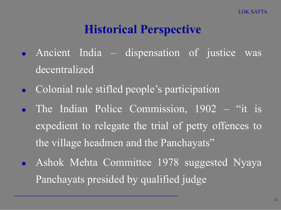## Historical Perspective

- Ancient India dispensation of justice was decentralized
- **Colonial rule stifled people's participation**
- The Indian Police Commission, 1902 "it is expedient to relegate the trial of petty offences to the village headmen and the Panchayats"
- Ashok Mehta Committee 1978 suggested Nyaya Panchayats presided by qualified judge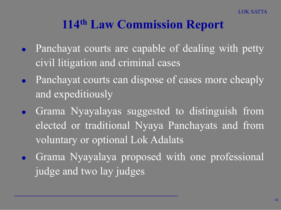### 114th Law Commission Report

- Panchayat courts are capable of dealing with petty civil litigation and criminal cases
- Panchayat courts can dispose of cases more cheaply and expeditiously
- Grama Nyayalayas suggested to distinguish from elected or traditional Nyaya Panchayats and from voluntary or optional Lok Adalats
- Grama Nyayalaya proposed with one professional judge and two lay judges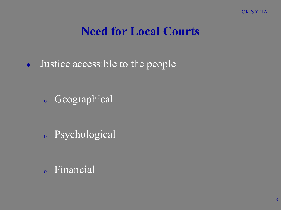#### Need for Local Courts

• Justice accessible to the people

<sup>o</sup> Geographical

<sup>o</sup> Psychological

<sup>o</sup> Financial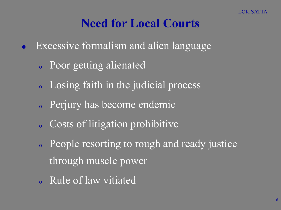#### Need for Local Courts

- Excessive formalism and alien language
	- <sup>o</sup> Poor getting alienated
	- <sup>o</sup> Losing faith in the judicial process
	- <sup>o</sup> Perjury has become endemic
	- <sup>o</sup> Costs of litigation prohibitive
	- <sup>o</sup> People resorting to rough and ready justice through muscle power
	- <sup>o</sup> Rule of law vitiated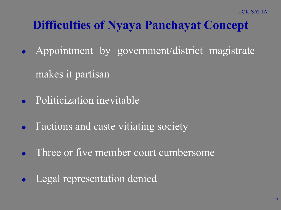## Difficulties of Nyaya Panchayat Concept

- Appointment by government/district magistrate makes it partisan
- Politicization inevitable
- Factions and caste vitiating society
- Three or five member court cumbersome
- Legal representation denied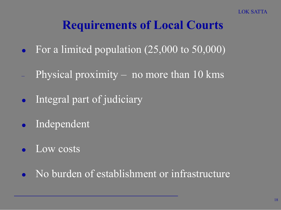## Requirements of Local Courts

- For a limited population (25,000 to 50,000)
- Physical proximity no more than 10 kms
- Integral part of judiciary
- Independent
- Low costs
- No burden of establishment or infrastructure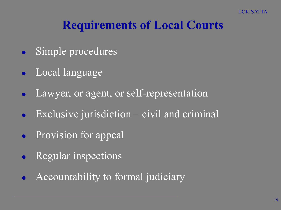## Requirements of Local Courts

- Simple procedures
- Local language
- Lawyer, or agent, or self-representation
- Exclusive jurisdiction civil and criminal
- Provision for appeal
- Regular inspections
- Accountability to formal judiciary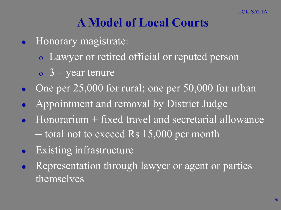## A Model of Local Courts

- Honorary magistrate:
	- o Lawyer or retired official or reputed person
	- $\sigma$  3 year tenure
- One per  $25,000$  for rural; one per  $50,000$  for urban
- Appointment and removal by District Judge
- Honorarium + fixed travel and secretarial allowance – total not to exceed Rs 15,000 per month
- Existing infrastructure
- Representation through lawyer or agent or parties themselves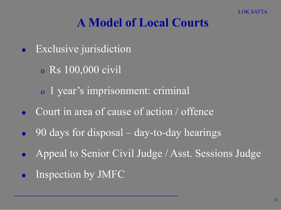## A Model of Local Courts

- Exclusive jurisdiction
	- o Rs 100,000 civil
	- o 1 year's imprisonment: criminal
- Court in area of cause of action / offence
- 90 days for disposal day-to-day hearings
- Appeal to Senior Civil Judge / Asst. Sessions Judge
- Inspection by JMFC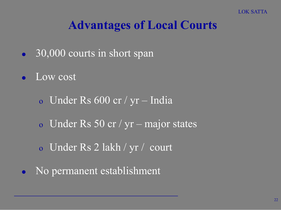## Advantages of Local Courts

- 30,000 courts in short span
- Low cost
	- o Under Rs 600 cr / yr India
	- o Under Rs 50 cr / yr major states
	- o Under Rs 2 lakh / yr / court
- No permanent establishment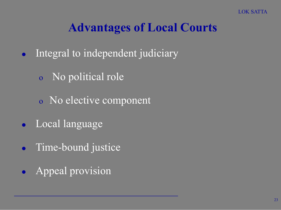## Advantages of Local Courts

- Integral to independent judiciary
	- o No political role
	- o No elective component
- Local language
- Time-bound justice
- Appeal provision